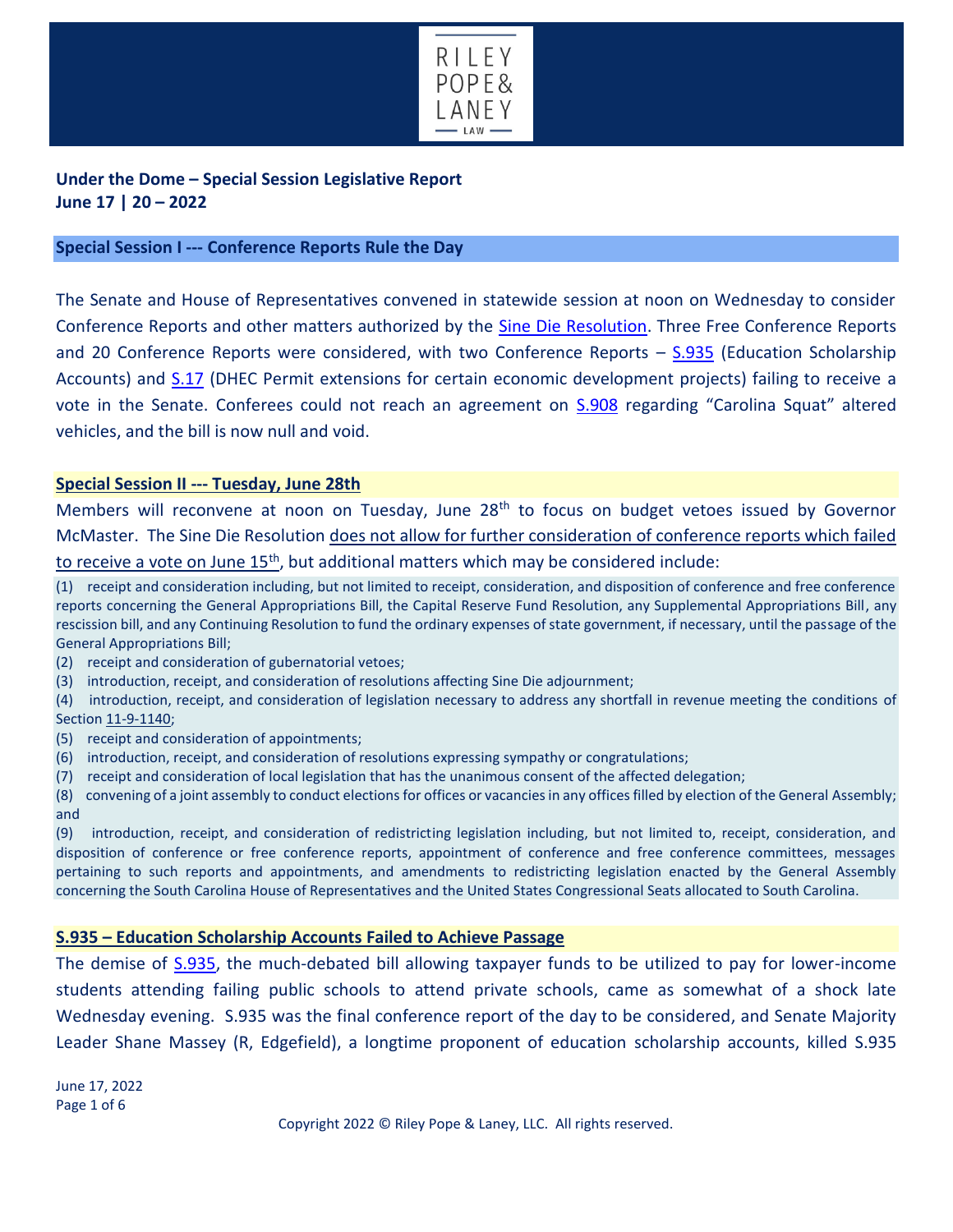

**Under the Dome – Special Session Legislative Report June 17 | 20 – 2022**

### **Special Session I --- Conference Reports Rule the Day**

The Senate and House of Representatives convened in statewide session at noon on Wednesday to consider Conference Reports and other matters authorized by the [Sine Die Resolution.](https://www.scstatehouse.gov/sess124_2021-2022/bills/1325.htm) Three Free Conference Reports and 20 Conference Reports were considered, with two Conference Reports – [S.935](https://www.scstatehouse.gov/sess124_2021-2022/bills/935.htm) (Education Scholarship Accounts) and [S.17](https://www.scstatehouse.gov/sess124_2021-2022/bills/17.htm) (DHEC Permit extensions for certain economic development projects) failing to receive a vote in the Senate. Conferees could not reach an agreement on [S.908](https://www.scstatehouse.gov/sess124_2021-2022/bills/908.htm) regarding "Carolina Squat" altered vehicles, and the bill is now null and void.

#### **Special Session II --- Tuesday, June 28th**

Members will reconvene at noon on Tuesday, June 28<sup>th</sup> to focus on budget vetoes issued by Governor McMaster. The Sine Die Resolution does not allow for further consideration of conference reports which failed to receive a vote on June  $15<sup>th</sup>$ , but additional matters which may be considered include:

(1) receipt and consideration including, but not limited to receipt, consideration, and disposition of conference and free conference reports concerning the General Appropriations Bill, the Capital Reserve Fund Resolution, any Supplemental Appropriations Bill, any rescission bill, and any Continuing Resolution to fund the ordinary expenses of state government, if necessary, until the passage of the General Appropriations Bill;

- (2) receipt and consideration of gubernatorial vetoes;
- (3) introduction, receipt, and consideration of resolutions affecting Sine Die adjournment;
- (4) introduction, receipt, and consideration of legislation necessary to address any shortfall in revenue meeting the conditions of Section [11-9-1140;](https://www.scstatehouse.gov/code/t11c009.php#11-9-1140)
- (5) receipt and consideration of appointments;
- (6) introduction, receipt, and consideration of resolutions expressing sympathy or congratulations;
- (7) receipt and consideration of local legislation that has the unanimous consent of the affected delegation;

(8) convening of a joint assembly to conduct elections for offices or vacancies in any offices filled by election of the General Assembly; and

(9) introduction, receipt, and consideration of redistricting legislation including, but not limited to, receipt, consideration, and disposition of conference or free conference reports, appointment of conference and free conference committees, messages pertaining to such reports and appointments, and amendments to redistricting legislation enacted by the General Assembly concerning the South Carolina House of Representatives and the United States Congressional Seats allocated to South Carolina.

#### **S.935 – Education Scholarship Accounts Failed to Achieve Passage**

The demise of <u>S.935</u>, the much-debated bill allowing taxpayer funds to be utilized to pay for lower-income students attending failing public schools to attend private schools, came as somewhat of a shock late Wednesday evening. S.935 was the final conference report of the day to be considered, and Senate Majority Leader Shane Massey (R, Edgefield), a longtime proponent of education scholarship accounts, killed S.935

June 17, 2022 Page 1 of 6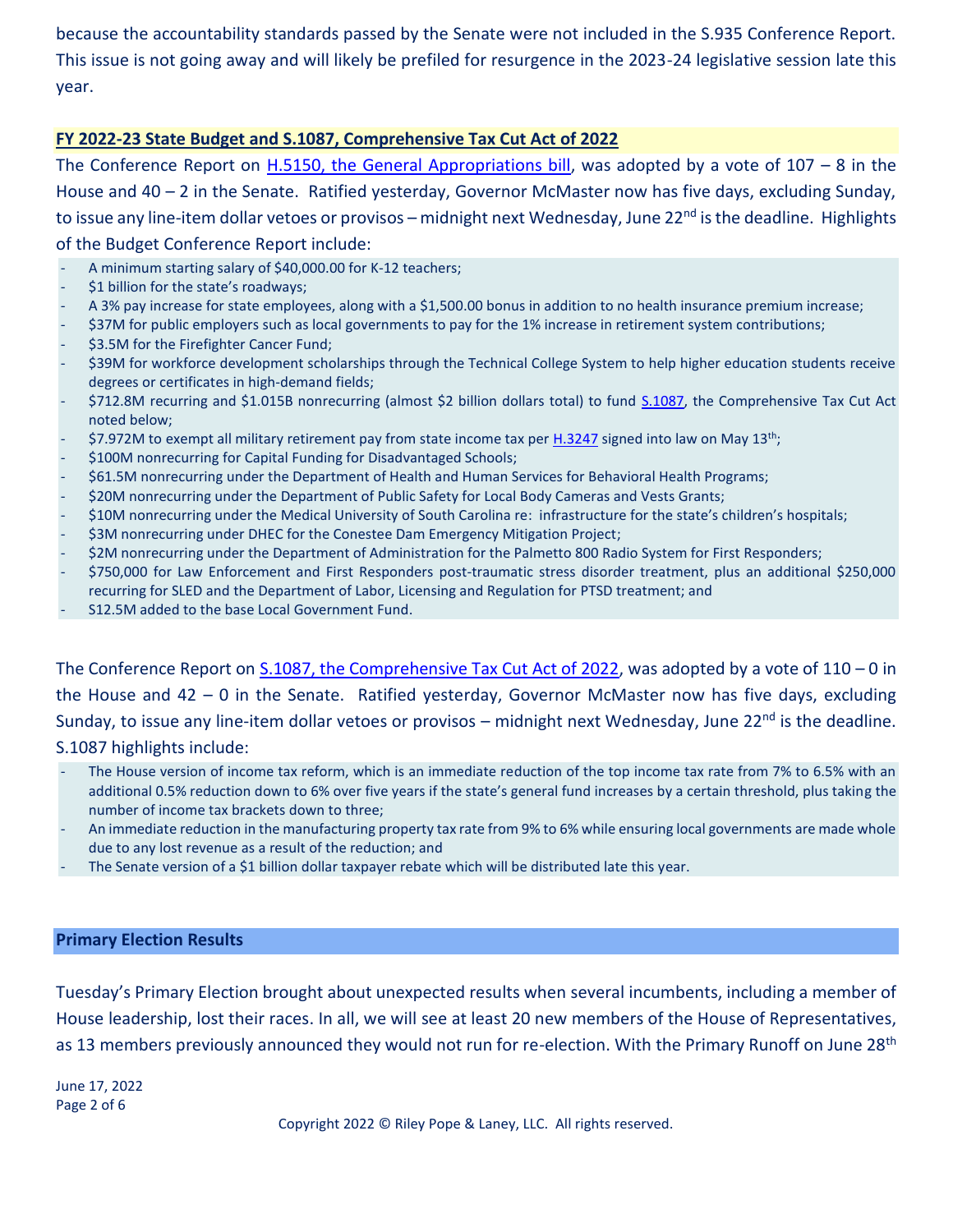because the accountability standards passed by the Senate were not included in the S.935 Conference Report. This issue is not going away and will likely be prefiled for resurgence in the 2023-24 legislative session late this year.

# **FY 2022-23 State Budget and S.1087, Comprehensive Tax Cut Act of 2022**

The Conference Report on [H.5150, the General Appropriations bill,](https://www.scstatehouse.gov/sess124_2021-2022/appropriations2022/gab5150.php) was adopted by a vote of  $107 - 8$  in the House and 40 – 2 in the Senate. Ratified yesterday, Governor McMaster now has five days, excluding Sunday, to issue any line-item dollar vetoes or provisos – midnight next Wednesday, June 22<sup>nd</sup> is the deadline. Highlights of the Budget Conference Report include:

- A minimum starting salary of \$40,000.00 for K-12 teachers;
- \$1 billion for the state's roadways;
- A 3% pay increase for state employees, along with a \$1,500.00 bonus in addition to no health insurance premium increase;
- \$37M for public employers such as local governments to pay for the 1% increase in retirement system contributions;
- \$3.5M for the Firefighter Cancer Fund;
- \$39M for workforce development scholarships through the Technical College System to help higher education students receive degrees or certificates in high-demand fields;
- \$712.8M recurring and \$1.015B nonrecurring (almost \$2 billion dollars total) to fund [S.1087,](https://www.scstatehouse.gov/sess124_2021-2022/bills/1087.htm) the Comprehensive Tax Cut Act noted below;
- \$7.972M to exempt all military retirement pay from state income tax per [H.3247](https://www.scstatehouse.gov/sess124_2021-2022/bills/3247.htm) signed into law on May 13<sup>th</sup>;
- \$100M nonrecurring for Capital Funding for Disadvantaged Schools;
- \$61.5M nonrecurring under the Department of Health and Human Services for Behavioral Health Programs;
- \$20M nonrecurring under the Department of Public Safety for Local Body Cameras and Vests Grants;
- \$10M nonrecurring under the Medical University of South Carolina re: infrastructure for the state's children's hospitals;
- \$3M nonrecurring under DHEC for the Conestee Dam Emergency Mitigation Project;
- \$2M nonrecurring under the Department of Administration for the Palmetto 800 Radio System for First Responders;
- \$750,000 for Law Enforcement and First Responders post-traumatic stress disorder treatment, plus an additional \$250,000 recurring for SLED and the Department of Labor, Licensing and Regulation for PTSD treatment; and
- S12.5M added to the base Local Government Fund.

The Conference Report on [S.1087, the Comprehensive Tax Cut Act of 2022,](https://www.scstatehouse.gov/sess124_2021-2022/bills/1087.htm) was adopted by a vote of  $110 - 0$  in the House and 42 – 0 in the Senate. Ratified yesterday, Governor McMaster now has five days, excluding Sunday, to issue any line-item dollar vetoes or provisos – midnight next Wednesday, June 22<sup>nd</sup> is the deadline. S.1087 highlights include:

- The House version of income tax reform, which is an immediate reduction of the top income tax rate from 7% to 6.5% with an additional 0.5% reduction down to 6% over five years if the state's general fund increases by a certain threshold, plus taking the number of income tax brackets down to three;
- An immediate reduction in the manufacturing property tax rate from 9% to 6% while ensuring local governments are made whole due to any lost revenue as a result of the reduction; and
- The Senate version of a \$1 billion dollar taxpayer rebate which will be distributed late this year.

# **Primary Election Results**

Tuesday's Primary Election brought about unexpected results when several incumbents, including a member of House leadership, lost their races. In all, we will see at least 20 new members of the House of Representatives, as 13 members previously announced they would not run for re-election. With the Primary Runoff on June 28<sup>th</sup>

June 17, 2022 Page 2 of 6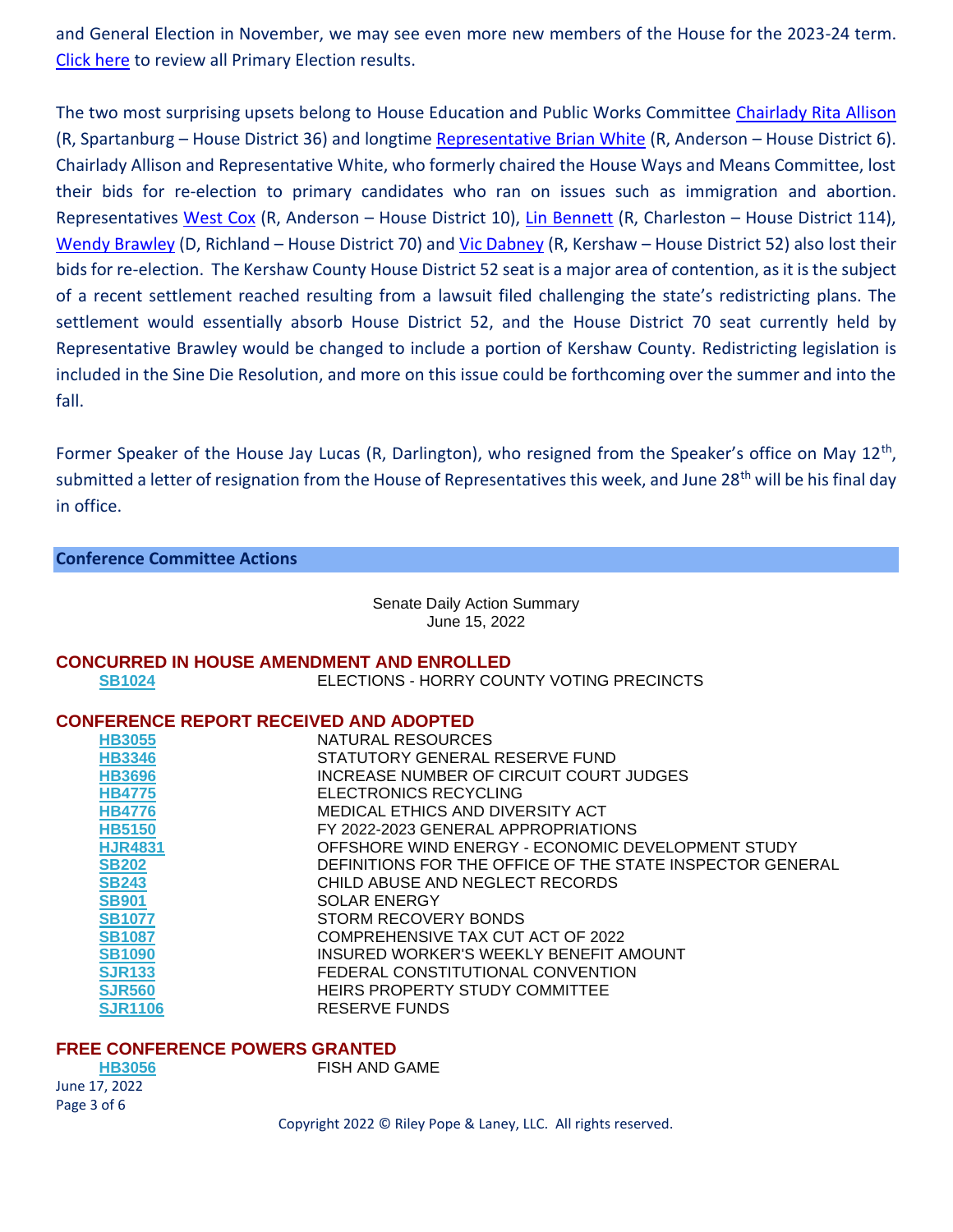and General Election in November, we may see even more new members of the House for the 2023-24 term. [Click here](https://www.enr-scvotes.org/SC/114143/Web02-state.289375/#/?undefined) to review all Primary Election results.

The two most surprising upsets belong to House Education and Public Works Committee [Chairlady Rita Allison](https://www.scstatehouse.gov/member.php?code=0015909089) (R, Spartanburg – House District 36) and longtime [Representative Brian White](https://www.scstatehouse.gov/member.php?code=1911363407) (R, Anderson – House District 6). Chairlady Allison and Representative White, who formerly chaired the House Ways and Means Committee, lost their bids for re-election to primary candidates who ran on issues such as immigration and abortion. Representatives [West Cox](https://www.scstatehouse.gov/member.php?code=0428693131) (R, Anderson – House District 10), [Lin Bennett](https://www.scstatehouse.gov/member.php?code=0140624984) (R, Charleston – House District 114), [Wendy Brawley](https://www.scstatehouse.gov/member.php?code=0187499978) (D, Richland – House District 70) and [Vic Dabney](https://www.scstatehouse.gov/member.php?code=0444318128) (R, Kershaw – House District 52) also lost their bids for re-election. The Kershaw County House District 52 seat is a major area of contention, as it is the subject of a recent settlement reached resulting from a lawsuit filed challenging the state's redistricting plans. The settlement would essentially absorb House District 52, and the House District 70 seat currently held by Representative Brawley would be changed to include a portion of Kershaw County. Redistricting legislation is included in the Sine Die Resolution, and more on this issue could be forthcoming over the summer and into the fall.

Former Speaker of the House Jay Lucas (R, Darlington), who resigned from the Speaker's office on May 12<sup>th</sup>, submitted a letter of resignation from the House of Representatives this week, and June 28<sup>th</sup> will be his final day in office.

### **Conference Committee Actions**

Senate Daily Action Summary June 15, 2022

# **CONCURRED IN HOUSE AMENDMENT AND ENROLLED**

**[SB1024](https://www.hannah-sc.com/ViewBill.aspx?tabindex=1&tabid=2&billnum=SB1024&ga=2020)** ELECTIONS - HORRY COUNTY VOTING PRECINCTS

## **CONFERENCE REPORT RECEIVED AND ADOPTED**

| <b>HB3055</b>  | NATURAL RESOURCES                                         |
|----------------|-----------------------------------------------------------|
| <b>HB3346</b>  | STATUTORY GENERAL RESERVE FUND                            |
| <b>HB3696</b>  | INCREASE NUMBER OF CIRCUIT COURT JUDGES                   |
| <b>HB4775</b>  | ELECTRONICS RECYCLING                                     |
| <b>HB4776</b>  | MEDICAL ETHICS AND DIVERSITY ACT                          |
| <b>HB5150</b>  | FY 2022-2023 GENERAL APPROPRIATIONS                       |
| <b>HJR4831</b> | OFFSHORE WIND ENERGY - ECONOMIC DEVELOPMENT STUDY         |
| <b>SB202</b>   | DEFINITIONS FOR THE OFFICE OF THE STATE INSPECTOR GENERAL |
| <b>SB243</b>   | CHILD ABUSE AND NEGLECT RECORDS                           |
| <b>SB901</b>   | <b>SOLAR ENERGY</b>                                       |
| <b>SB1077</b>  | STORM RECOVERY BONDS                                      |
| <b>SB1087</b>  | COMPREHENSIVE TAX CUT ACT OF 2022                         |
| <b>SB1090</b>  | INSURED WORKER'S WEEKLY BENEFIT AMOUNT                    |
| <b>SJR133</b>  | FEDERAL CONSTITUTIONAL CONVENTION                         |
| <b>SJR560</b>  | HEIRS PROPERTY STUDY COMMITTEE                            |
| <b>SJR1106</b> | <b>RESERVE FUNDS</b>                                      |

#### **FREE CONFERENCE POWERS GRANTED**

| <b>HB3056</b> |  |
|---------------|--|
| June 17, 2022 |  |
| Page 3 of 6   |  |

**FISH AND GAME**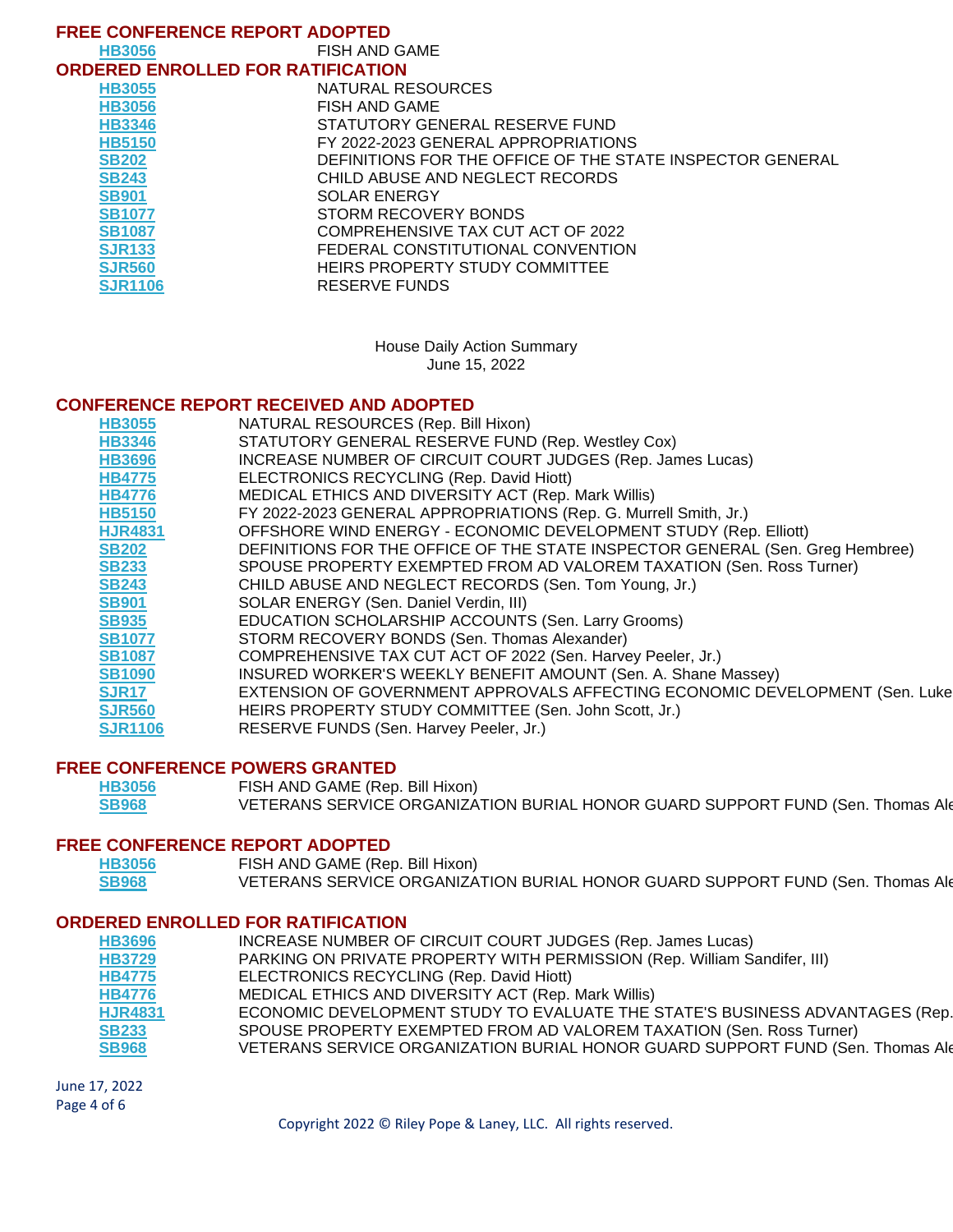| <b>FREE CONFERENCE REPORT ADOPTED</b>    |                                                           |  |
|------------------------------------------|-----------------------------------------------------------|--|
| <b>HB3056</b>                            | FISH AND GAME                                             |  |
| <b>ORDERED ENROLLED FOR RATIFICATION</b> |                                                           |  |
| <b>HB3055</b>                            | NATURAL RESOURCES                                         |  |
| <b>HB3056</b>                            | FISH AND GAME                                             |  |
| <b>HB3346</b>                            | STATUTORY GENERAL RESERVE FUND                            |  |
| <b>HB5150</b>                            | FY 2022-2023 GENERAL APPROPRIATIONS                       |  |
| <b>SB202</b>                             | DEFINITIONS FOR THE OFFICE OF THE STATE INSPECTOR GENERAL |  |
| <b>SB243</b>                             | CHILD ABUSE AND NEGLECT RECORDS                           |  |
| <b>SB901</b>                             | <b>SOLAR ENERGY</b>                                       |  |
| <b>SB1077</b>                            | STORM RECOVERY BONDS                                      |  |
| <b>SB1087</b>                            | COMPREHENSIVE TAX CUT ACT OF 2022                         |  |
| <b>SJR133</b>                            | FEDERAL CONSTITUTIONAL CONVENTION                         |  |
| <b>SJR560</b>                            | HEIRS PROPERTY STUDY COMMITTEE                            |  |
| <b>SJR1106</b>                           | RESERVE FUNDS                                             |  |

House Daily Action Summary June 15, 2022

### **CONFERENCE REPORT RECEIVED AND ADOPTED**

| <b>HB3055</b>  | NATURAL RESOURCES (Rep. Bill Hixon)                                           |
|----------------|-------------------------------------------------------------------------------|
| <b>HB3346</b>  | STATUTORY GENERAL RESERVE FUND (Rep. Westley Cox)                             |
| <b>HB3696</b>  | INCREASE NUMBER OF CIRCUIT COURT JUDGES (Rep. James Lucas)                    |
| <b>HB4775</b>  | ELECTRONICS RECYCLING (Rep. David Hiott)                                      |
| <b>HB4776</b>  | MEDICAL ETHICS AND DIVERSITY ACT (Rep. Mark Willis)                           |
| <b>HB5150</b>  | FY 2022-2023 GENERAL APPROPRIATIONS (Rep. G. Murrell Smith, Jr.)              |
| <b>HJR4831</b> | OFFSHORE WIND ENERGY - ECONOMIC DEVELOPMENT STUDY (Rep. Elliott)              |
| <b>SB202</b>   | DEFINITIONS FOR THE OFFICE OF THE STATE INSPECTOR GENERAL (Sen. Greg Hembree) |
| <b>SB233</b>   | SPOUSE PROPERTY EXEMPTED FROM AD VALOREM TAXATION (Sen. Ross Turner)          |
| <b>SB243</b>   | CHILD ABUSE AND NEGLECT RECORDS (Sen. Tom Young, Jr.)                         |
| <b>SB901</b>   | SOLAR ENERGY (Sen. Daniel Verdin, III)                                        |
| <b>SB935</b>   | EDUCATION SCHOLARSHIP ACCOUNTS (Sen. Larry Grooms)                            |
| <b>SB1077</b>  | STORM RECOVERY BONDS (Sen. Thomas Alexander)                                  |
| <b>SB1087</b>  | COMPREHENSIVE TAX CUT ACT OF 2022 (Sen. Harvey Peeler, Jr.)                   |
| <b>SB1090</b>  | INSURED WORKER'S WEEKLY BENEFIT AMOUNT (Sen. A. Shane Massey)                 |
| <b>SJR17</b>   | EXTENSION OF GOVERNMENT APPROVALS AFFECTING ECONOMIC DEVELOPMENT (Sen. Luke   |
| <b>SJR560</b>  | HEIRS PROPERTY STUDY COMMITTEE (Sen. John Scott, Jr.)                         |
| <b>SJR1106</b> | RESERVE FUNDS (Sen. Harvey Peeler, Jr.)                                       |
|                |                                                                               |

#### **FREE CONFERENCE POWERS GRANTED**

| <b>HB3056</b> | FISH AND GAME (Rep. Bill Hixon)                                                |
|---------------|--------------------------------------------------------------------------------|
| <b>SB968</b>  | VETERANS SERVICE ORGANIZATION BURIAL HONOR GUARD SUPPORT FUND (Sen. Thomas Ald |

# **FREE CONFERENCE REPORT ADOPTED**

| <b>HB3056</b> | FISH AND GAME (Rep. Bill Hixon)                                                |
|---------------|--------------------------------------------------------------------------------|
| <b>SB968</b>  | VETERANS SERVICE ORGANIZATION BURIAL HONOR GUARD SUPPORT FUND (Sen. Thomas Ald |

#### **ORDERED ENROLLED FOR RATIFICATION**

| HB3696         | INCREASE NUMBER OF CIRCUIT COURT JUDGES (Rep. James Lucas)                     |
|----------------|--------------------------------------------------------------------------------|
| <b>HB3729</b>  | PARKING ON PRIVATE PROPERTY WITH PERMISSION (Rep. William Sandifer, III)       |
| <b>HB4775</b>  | ELECTRONICS RECYCLING (Rep. David Hiott)                                       |
| <b>HB4776</b>  | MEDICAL ETHICS AND DIVERSITY ACT (Rep. Mark Willis)                            |
| <b>HJR4831</b> | ECONOMIC DEVELOPMENT STUDY TO EVALUATE THE STATE'S BUSINESS ADVANTAGES (Rep.   |
| <b>SB233</b>   | SPOUSE PROPERTY EXEMPTED FROM AD VALOREM TAXATION (Sen. Ross Turner)           |
| <b>SB968</b>   | VETERANS SERVICE ORGANIZATION BURIAL HONOR GUARD SUPPORT FUND (Sen. Thomas Ald |
|                |                                                                                |

June 17, 2022 Page 4 of 6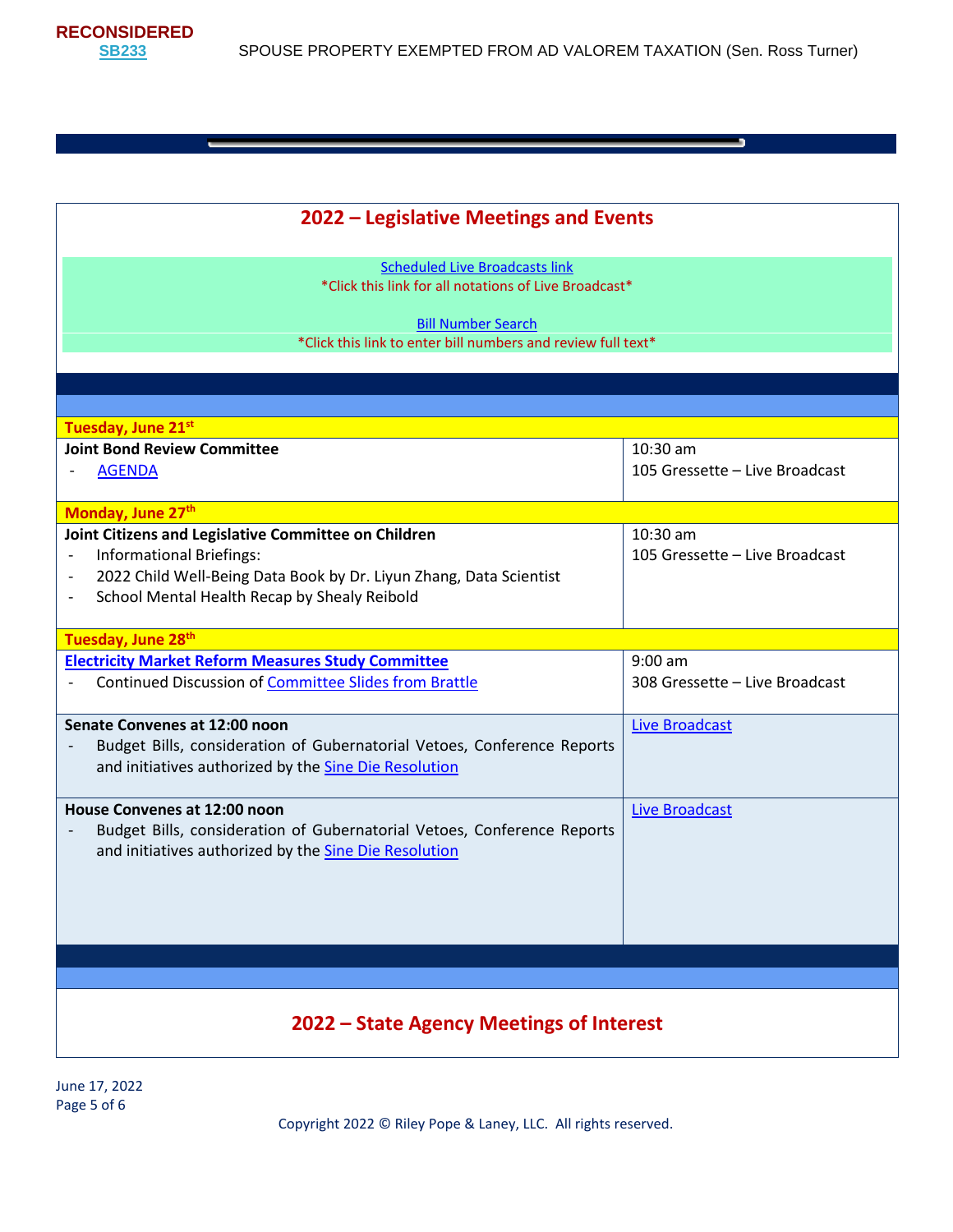**RECONSIDERED**

<u> The Communication of the Communication of the Communication of the Communication of the Communication of the Co</u>

| 2022 – Legislative Meetings and Events                                                                                                                                                                                                                                                            |                                            |  |
|---------------------------------------------------------------------------------------------------------------------------------------------------------------------------------------------------------------------------------------------------------------------------------------------------|--------------------------------------------|--|
| <b>Scheduled Live Broadcasts link</b><br>*Click this link for all notations of Live Broadcast*                                                                                                                                                                                                    |                                            |  |
| <b>Bill Number Search</b><br>*Click this link to enter bill numbers and review full text*                                                                                                                                                                                                         |                                            |  |
|                                                                                                                                                                                                                                                                                                   |                                            |  |
|                                                                                                                                                                                                                                                                                                   |                                            |  |
|                                                                                                                                                                                                                                                                                                   |                                            |  |
| Tuesday, June 21st<br><b>Joint Bond Review Committee</b>                                                                                                                                                                                                                                          | 10:30 am                                   |  |
| <b>AGENDA</b>                                                                                                                                                                                                                                                                                     | 105 Gressette - Live Broadcast             |  |
| Monday, June 27th                                                                                                                                                                                                                                                                                 |                                            |  |
| Joint Citizens and Legislative Committee on Children<br><b>Informational Briefings:</b><br>$\overline{\phantom{a}}$<br>2022 Child Well-Being Data Book by Dr. Liyun Zhang, Data Scientist<br>$\overline{\phantom{a}}$<br>School Mental Health Recap by Shealy Reibold<br>$\overline{\phantom{a}}$ | 10:30 am<br>105 Gressette - Live Broadcast |  |
| Tuesday, June 28th                                                                                                                                                                                                                                                                                |                                            |  |
| <b>Electricity Market Reform Measures Study Committee</b>                                                                                                                                                                                                                                         | $9:00$ am                                  |  |
| <b>Continued Discussion of Committee Slides from Brattle</b>                                                                                                                                                                                                                                      | 308 Gressette - Live Broadcast             |  |
| Senate Convenes at 12:00 noon                                                                                                                                                                                                                                                                     | <b>Live Broadcast</b>                      |  |
| Budget Bills, consideration of Gubernatorial Vetoes, Conference Reports<br>and initiatives authorized by the Sine Die Resolution                                                                                                                                                                  |                                            |  |
| House Convenes at 12:00 noon                                                                                                                                                                                                                                                                      | <b>Live Broadcast</b>                      |  |
| Budget Bills, consideration of Gubernatorial Vetoes, Conference Reports<br>$\overline{\phantom{a}}$<br>and initiatives authorized by the Sine Die Resolution                                                                                                                                      |                                            |  |
|                                                                                                                                                                                                                                                                                                   |                                            |  |
| 2022 - State Agency Meetings of Interest                                                                                                                                                                                                                                                          |                                            |  |